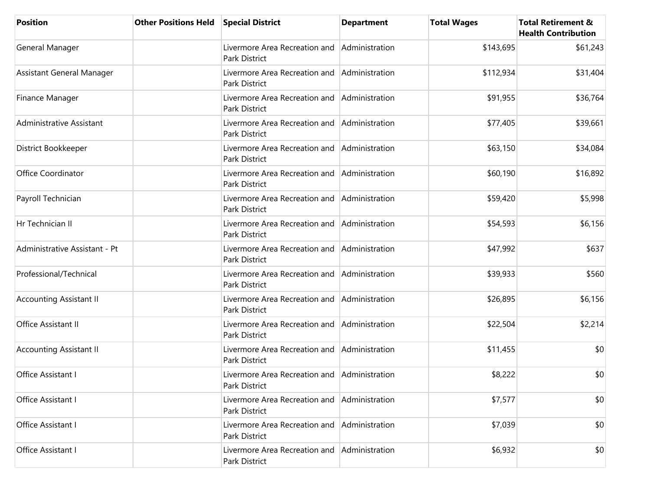| <b>Position</b>                 | <b>Other Positions Held</b> | <b>Special District</b>                                              | <b>Department</b> | <b>Total Wages</b> | <b>Total Retirement &amp;</b><br><b>Health Contribution</b> |
|---------------------------------|-----------------------------|----------------------------------------------------------------------|-------------------|--------------------|-------------------------------------------------------------|
| General Manager                 |                             | Livermore Area Recreation and<br><b>Park District</b>                | Administration    | \$143,695          | \$61,243                                                    |
| Assistant General Manager       |                             | Livermore Area Recreation and<br>Park District                       | Administration    | \$112,934          | \$31,404                                                    |
| Finance Manager                 |                             | Livermore Area Recreation and<br>Park District                       | Administration    | \$91,955           | \$36,764                                                    |
| <b>Administrative Assistant</b> |                             | Livermore Area Recreation and<br>Park District                       | Administration    | \$77,405           | \$39,661                                                    |
| District Bookkeeper             |                             | Livermore Area Recreation and<br>Park District                       | Administration    | \$63,150           | \$34,084                                                    |
| Office Coordinator              |                             | Livermore Area Recreation and<br><b>Park District</b>                | Administration    | \$60,190           | \$16,892                                                    |
| Payroll Technician              |                             | Livermore Area Recreation and<br>Park District                       | Administration    | \$59,420           | \$5,998                                                     |
| Hr Technician II                |                             | Livermore Area Recreation and<br><b>Park District</b>                | Administration    | \$54,593           | \$6,156                                                     |
| Administrative Assistant - Pt   |                             | Livermore Area Recreation and<br>Park District                       | Administration    | \$47,992           | \$637                                                       |
| Professional/Technical          |                             | Livermore Area Recreation and<br><b>Park District</b>                | Administration    | \$39,933           | \$560                                                       |
| <b>Accounting Assistant II</b>  |                             | Livermore Area Recreation and<br>Park District                       | Administration    | \$26,895           | \$6,156                                                     |
| Office Assistant II             |                             | Livermore Area Recreation and<br>Park District                       | Administration    | \$22,504           | \$2,214                                                     |
| <b>Accounting Assistant II</b>  |                             | Livermore Area Recreation and<br>Park District                       | Administration    | \$11,455           | \$0                                                         |
| Office Assistant I              |                             | Livermore Area Recreation and Administration<br><b>Park District</b> |                   | \$8,222            | \$0                                                         |
| Office Assistant I              |                             | Livermore Area Recreation and<br>Park District                       | Administration    | \$7,577            | \$0                                                         |
| Office Assistant I              |                             | Livermore Area Recreation and<br>Park District                       | Administration    | \$7,039            | \$0                                                         |
| Office Assistant I              |                             | Livermore Area Recreation and<br>Park District                       | Administration    | \$6,932            | \$0                                                         |